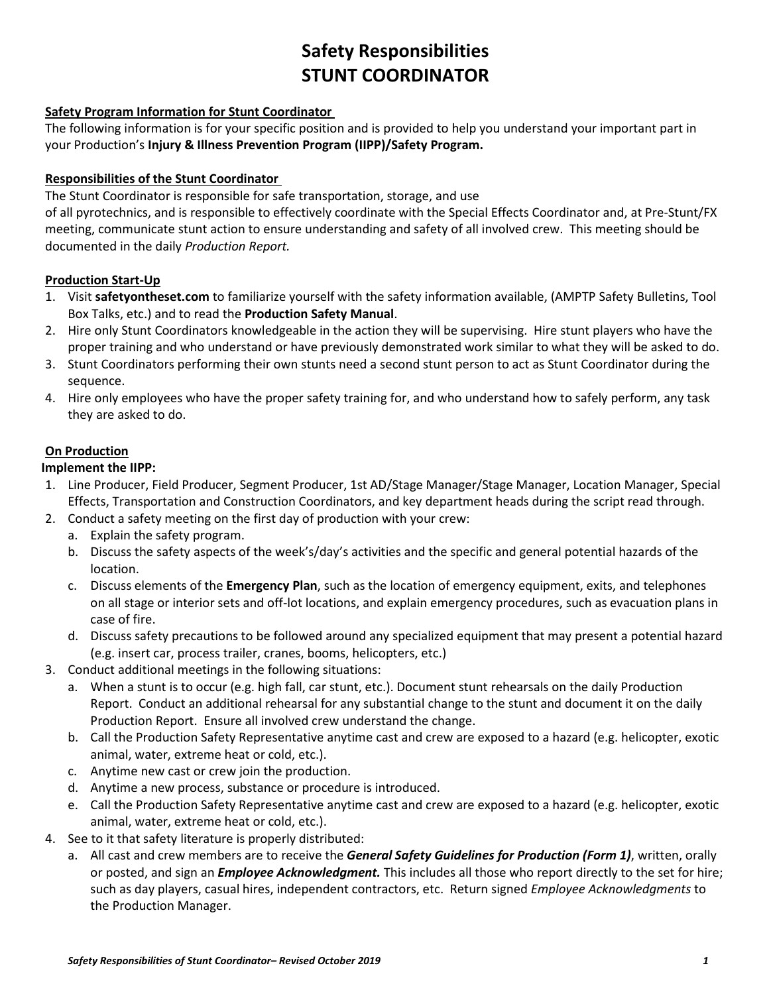# **Safety Responsibilities STUNT COORDINATOR**

## **Safety Program Information for Stunt Coordinator**

The following information is for your specific position and is provided to help you understand your important part in your Production's **Injury & Illness Prevention Program (IIPP)/Safety Program.**

#### **Responsibilities of the Stunt Coordinator**

The Stunt Coordinator is responsible for safe transportation, storage, and use

of all pyrotechnics, and is responsible to effectively coordinate with the Special Effects Coordinator and, at Pre-Stunt/FX meeting, communicate stunt action to ensure understanding and safety of all involved crew. This meeting should be documented in the daily *Production Report.* 

### **Production Start-Up**

- 1. Visit **safetyontheset.com** to familiarize yourself with the safety information available, (AMPTP Safety Bulletins, Tool Box Talks, etc.) and to read the **Production Safety Manual**.
- 2. Hire only Stunt Coordinators knowledgeable in the action they will be supervising. Hire stunt players who have the proper training and who understand or have previously demonstrated work similar to what they will be asked to do.
- 3. Stunt Coordinators performing their own stunts need a second stunt person to act as Stunt Coordinator during the sequence.
- 4. Hire only employees who have the proper safety training for, and who understand how to safely perform, any task they are asked to do.

#### **On Production**

### **Implement the IIPP:**

- 1. Line Producer, Field Producer, Segment Producer, 1st AD/Stage Manager/Stage Manager, Location Manager, Special Effects, Transportation and Construction Coordinators, and key department heads during the script read through.
- 2. Conduct a safety meeting on the first day of production with your crew:
	- a. Explain the safety program.
	- b. Discuss the safety aspects of the week's/day's activities and the specific and general potential hazards of the location.
	- c. Discuss elements of the **Emergency Plan**, such as the location of emergency equipment, exits, and telephones on all stage or interior sets and off-lot locations, and explain emergency procedures, such as evacuation plans in case of fire.
	- d. Discuss safety precautions to be followed around any specialized equipment that may present a potential hazard (e.g. insert car, process trailer, cranes, booms, helicopters, etc.)
- 3. Conduct additional meetings in the following situations:
	- a. When a stunt is to occur (e.g. high fall, car stunt, etc.). Document stunt rehearsals on the daily Production Report. Conduct an additional rehearsal for any substantial change to the stunt and document it on the daily Production Report. Ensure all involved crew understand the change.
	- b. Call the Production Safety Representative anytime cast and crew are exposed to a hazard (e.g. helicopter, exotic animal, water, extreme heat or cold, etc.).
	- c. Anytime new cast or crew join the production.
	- d. Anytime a new process, substance or procedure is introduced.
	- e. Call the Production Safety Representative anytime cast and crew are exposed to a hazard (e.g. helicopter, exotic animal, water, extreme heat or cold, etc.).
- 4. See to it that safety literature is properly distributed:
	- a. All cast and crew members are to receive the *General Safety Guidelines for Production (Form 1)*, written, orally or posted, and sign an *Employee Acknowledgment.* This includes all those who report directly to the set for hire; such as day players, casual hires, independent contractors, etc. Return signed *Employee Acknowledgments* to the Production Manager.